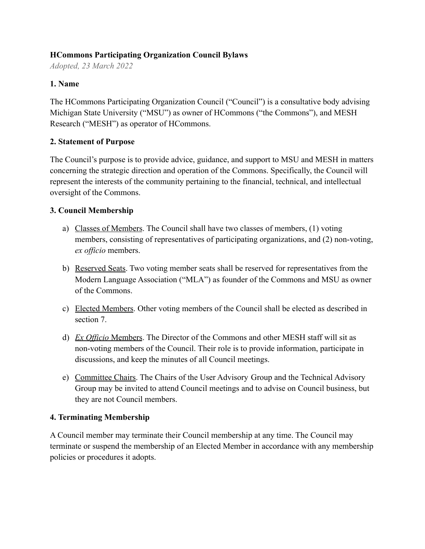## **HCommons Participating Organization Council Bylaws**

*Adopted, 23 March 2022*

## **1. Name**

The HCommons Participating Organization Council ("Council") is a consultative body advising Michigan State University ("MSU") as owner of HCommons ("the Commons"), and MESH Research ("MESH") as operator of HCommons.

### **2. Statement of Purpose**

The Council's purpose is to provide advice, guidance, and support to MSU and MESH in matters concerning the strategic direction and operation of the Commons. Specifically, the Council will represent the interests of the community pertaining to the financial, technical, and intellectual oversight of the Commons.

## **3. Council Membership**

- a) Classes of Members. The Council shall have two classes of members, (1) voting members, consisting of representatives of participating organizations, and (2) non-voting, *ex officio* members.
- b) Reserved Seats. Two voting member seats shall be reserved for representatives from the Modern Language Association ("MLA") as founder of the Commons and MSU as owner of the Commons.
- c) Elected Members. Other voting members of the Council shall be elected as described in section 7.
- d) *Ex Officio* Members. The Director of the Commons and other MESH staff will sit as non-voting members of the Council. Their role is to provide information, participate in discussions, and keep the minutes of all Council meetings.
- e) Committee Chairs. The Chairs of the User Advisory Group and the Technical Advisory Group may be invited to attend Council meetings and to advise on Council business, but they are not Council members.

# **4. Terminating Membership**

A Council member may terminate their Council membership at any time. The Council may terminate or suspend the membership of an Elected Member in accordance with any membership policies or procedures it adopts.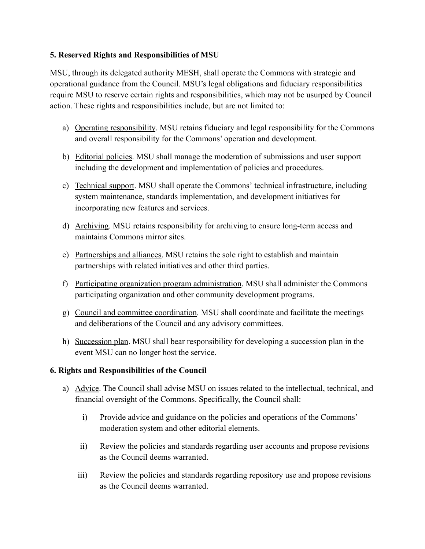## **5. Reserved Rights and Responsibilities of MSU**

MSU, through its delegated authority MESH, shall operate the Commons with strategic and operational guidance from the Council. MSU's legal obligations and fiduciary responsibilities require MSU to reserve certain rights and responsibilities, which may not be usurped by Council action. These rights and responsibilities include, but are not limited to:

- a) Operating responsibility. MSU retains fiduciary and legal responsibility for the Commons and overall responsibility for the Commons' operation and development.
- b) Editorial policies. MSU shall manage the moderation of submissions and user support including the development and implementation of policies and procedures.
- c) Technical support. MSU shall operate the Commons' technical infrastructure, including system maintenance, standards implementation, and development initiatives for incorporating new features and services.
- d) Archiving. MSU retains responsibility for archiving to ensure long-term access and maintains Commons mirror sites.
- e) Partnerships and alliances. MSU retains the sole right to establish and maintain partnerships with related initiatives and other third parties.
- f) Participating organization program administration. MSU shall administer the Commons participating organization and other community development programs.
- g) Council and committee coordination. MSU shall coordinate and facilitate the meetings and deliberations of the Council and any advisory committees.
- h) Succession plan. MSU shall bear responsibility for developing a succession plan in the event MSU can no longer host the service.

# **6. Rights and Responsibilities of the Council**

- a) Advice. The Council shall advise MSU on issues related to the intellectual, technical, and financial oversight of the Commons. Specifically, the Council shall:
	- i) Provide advice and guidance on the policies and operations of the Commons' moderation system and other editorial elements.
	- ii) Review the policies and standards regarding user accounts and propose revisions as the Council deems warranted.
	- iii) Review the policies and standards regarding repository use and propose revisions as the Council deems warranted.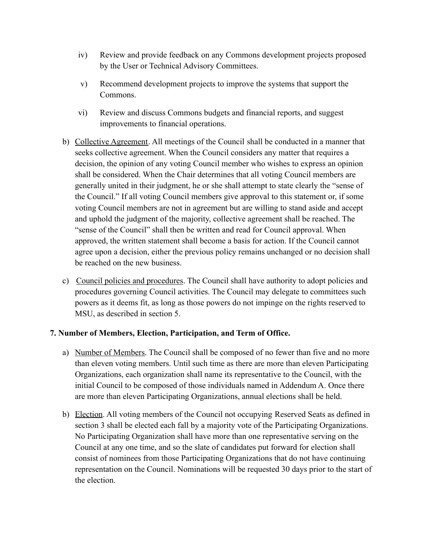- iv) Review and provide feedback on any Commons development projects proposed by the User or Technical Advisory Committees.
- v) Recommend development projects to improve the systems that support the Commons.
- vi) Review and discuss Commons budgets and financial reports, and suggest improvements to financial operations.
- b) Collective Agreement. All meetings of the Council shall be conducted in a manner that seeks collective agreement. When the Council considers any matter that requires a decision, the opinion of any voting Council member who wishes to express an opinion shall be considered. When the Chair determines that all voting Council members are generally united in their judgment, he or she shall attempt to state clearly the "sense of the Council." If all voting Council members give approval to this statement or, if some voting Council members are not in agreement but are willing to stand aside and accept and uphold the judgment of the majority, collective agreement shall be reached. The "sense of the Council" shall then be written and read for Council approval. When approved, the written statement shall become a basis for action. If the Council cannot agree upon a decision, either the previous policy remains unchanged or no decision shall be reached on the new business.
- c) Council policies and procedures. The Council shall have authority to adopt policies and procedures governing Council activities. The Council may delegate to committees such powers as it deems fit, as long as those powers do not impinge on the rights reserved to MSU, as described in section 5.

### **7. Number of Members, Election, Participation, and Term of Office.**

- a) Number of Members. The Council shall be composed of no fewer than five and no more than eleven voting members. Until such time as there are more than eleven Participating Organizations, each organization shall name its representative to the Council, with the initial Council to be composed of those individuals named in Addendum A. Once there are more than eleven Participating Organizations, annual elections shall be held.
- b) Election. All voting members of the Council not occupying Reserved Seats as defined in section 3 shall be elected each fall by a majority vote of the Participating Organizations. No Participating Organization shall have more than one representative serving on the Council at any one time, and so the slate of candidates put forward for election shall consist of nominees from those Participating Organizations that do not have continuing representation on the Council. Nominations will be requested 30 days prior to the start of the election.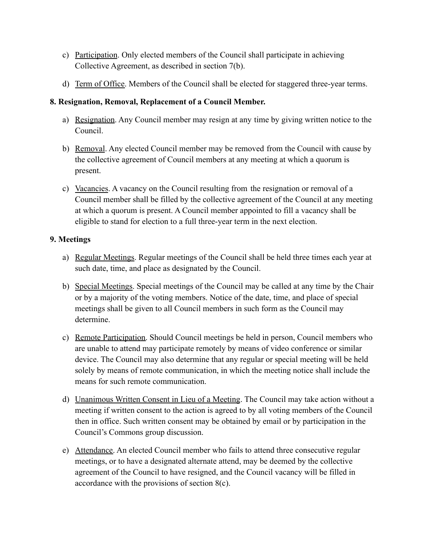- c) Participation. Only elected members of the Council shall participate in achieving Collective Agreement, as described in section 7(b).
- d) Term of Office. Members of the Council shall be elected for staggered three-year terms.

## **8. Resignation, Removal, Replacement of a Council Member.**

- a) Resignation. Any Council member may resign at any time by giving written notice to the Council.
- b) Removal. Any elected Council member may be removed from the Council with cause by the collective agreement of Council members at any meeting at which a quorum is present.
- c) Vacancies. A vacancy on the Council resulting from the resignation or removal of a Council member shall be filled by the collective agreement of the Council at any meeting at which a quorum is present. A Council member appointed to fill a vacancy shall be eligible to stand for election to a full three-year term in the next election.

### **9. Meetings**

- a) Regular Meetings. Regular meetings of the Council shall be held three times each year at such date, time, and place as designated by the Council.
- b) Special Meetings. Special meetings of the Council may be called at any time by the Chair or by a majority of the voting members. Notice of the date, time, and place of special meetings shall be given to all Council members in such form as the Council may determine.
- c) Remote Participation. Should Council meetings be held in person, Council members who are unable to attend may participate remotely by means of video conference or similar device. The Council may also determine that any regular or special meeting will be held solely by means of remote communication, in which the meeting notice shall include the means for such remote communication.
- d) Unanimous Written Consent in Lieu of a Meeting. The Council may take action without a meeting if written consent to the action is agreed to by all voting members of the Council then in office. Such written consent may be obtained by email or by participation in the Council's Commons group discussion.
- e) Attendance. An elected Council member who fails to attend three consecutive regular meetings, or to have a designated alternate attend, may be deemed by the collective agreement of the Council to have resigned, and the Council vacancy will be filled in accordance with the provisions of section 8(c).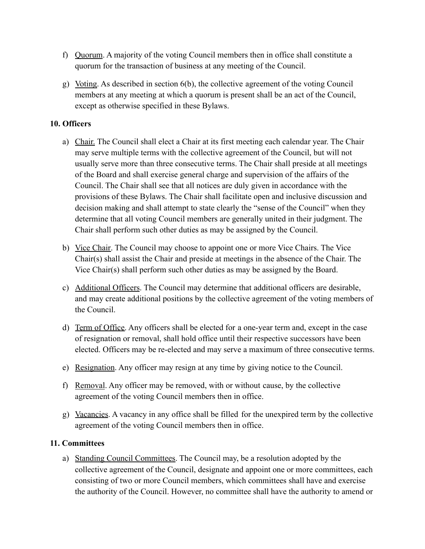- f) Quorum. A majority of the voting Council members then in office shall constitute a quorum for the transaction of business at any meeting of the Council.
- g) Voting. As described in section 6(b), the collective agreement of the voting Council members at any meeting at which a quorum is present shall be an act of the Council, except as otherwise specified in these Bylaws.

### **10. Officers**

- a) Chair. The Council shall elect a Chair at its first meeting each calendar year. The Chair may serve multiple terms with the collective agreement of the Council, but will not usually serve more than three consecutive terms. The Chair shall preside at all meetings of the Board and shall exercise general charge and supervision of the affairs of the Council. The Chair shall see that all notices are duly given in accordance with the provisions of these Bylaws. The Chair shall facilitate open and inclusive discussion and decision making and shall attempt to state clearly the "sense of the Council" when they determine that all voting Council members are generally united in their judgment. The Chair shall perform such other duties as may be assigned by the Council.
- b) Vice Chair. The Council may choose to appoint one or more Vice Chairs. The Vice Chair(s) shall assist the Chair and preside at meetings in the absence of the Chair. The Vice Chair(s) shall perform such other duties as may be assigned by the Board.
- c) Additional Officers. The Council may determine that additional officers are desirable, and may create additional positions by the collective agreement of the voting members of the Council.
- d) Term of Office. Any officers shall be elected for a one-year term and, except in the case of resignation or removal, shall hold office until their respective successors have been elected. Officers may be re-elected and may serve a maximum of three consecutive terms.
- e) Resignation. Any officer may resign at any time by giving notice to the Council.
- f) Removal. Any officer may be removed, with or without cause, by the collective agreement of the voting Council members then in office.
- g) Vacancies. A vacancy in any office shall be filled for the unexpired term by the collective agreement of the voting Council members then in office.

### **11. Committees**

a) Standing Council Committees. The Council may, be a resolution adopted by the collective agreement of the Council, designate and appoint one or more committees, each consisting of two or more Council members, which committees shall have and exercise the authority of the Council. However, no committee shall have the authority to amend or